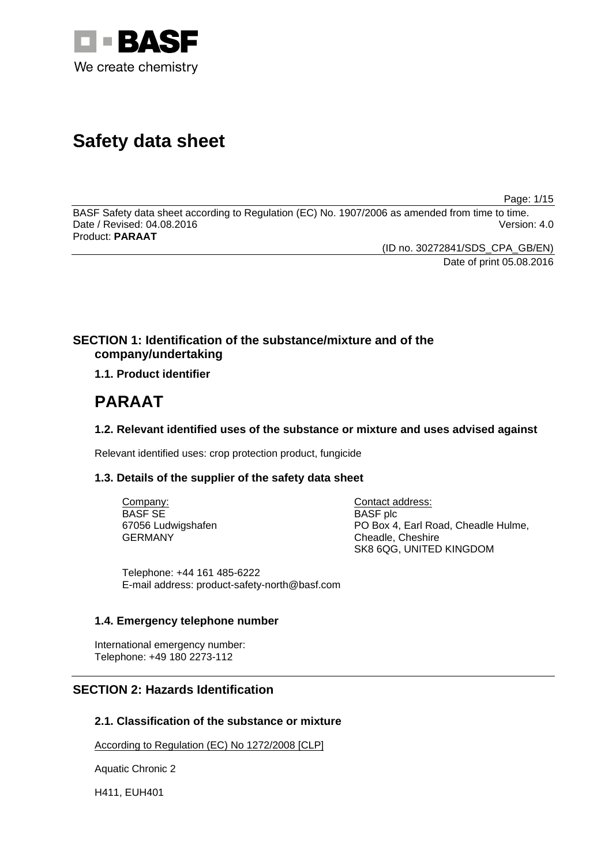

# **Safety data sheet**

Page: 1/15

BASF Safety data sheet according to Regulation (EC) No. 1907/2006 as amended from time to time. Date / Revised: 04.08.2016 Version: 4.0 Product: **PARAAT**

> (ID no. 30272841/SDS\_CPA\_GB/EN) Date of print 05.08.2016

### **SECTION 1: Identification of the substance/mixture and of the company/undertaking**

**1.1. Product identifier**

# **PARAAT**

### **1.2. Relevant identified uses of the substance or mixture and uses advised against**

Relevant identified uses: crop protection product, fungicide

### **1.3. Details of the supplier of the safety data sheet**

Company: BASF SE 67056 Ludwigshafen GERMANY

Contact address: BASF plc PO Box 4, Earl Road, Cheadle Hulme, Cheadle, Cheshire SK8 6QG, UNITED KINGDOM

Telephone: +44 161 485-6222 E-mail address: product-safety-north@basf.com

### **1.4. Emergency telephone number**

International emergency number: Telephone: +49 180 2273-112

### **SECTION 2: Hazards Identification**

#### **2.1. Classification of the substance or mixture**

According to Regulation (EC) No 1272/2008 [CLP]

Aquatic Chronic 2

H411, EUH401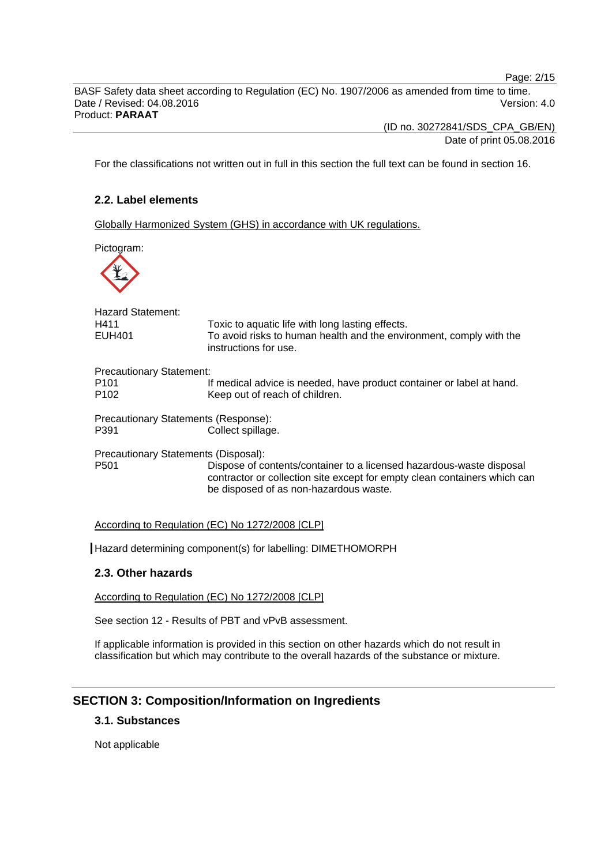Page: 2/15

BASF Safety data sheet according to Regulation (EC) No. 1907/2006 as amended from time to time. Date / Revised: 04.08.2016 **Version: 4.0** Version: 4.0 Product: **PARAAT**

(ID no. 30272841/SDS\_CPA\_GB/EN)

Date of print 05.08.2016

For the classifications not written out in full in this section the full text can be found in section 16.

### **2.2. Label elements**

Globally Harmonized System (GHS) in accordance with UK regulations.

Pictogram:



| Hazard Statement:<br>H411<br><b>EUH401</b>                              | Toxic to aquatic life with long lasting effects.<br>To avoid risks to human health and the environment, comply with the<br>instructions for use.                                            |
|-------------------------------------------------------------------------|---------------------------------------------------------------------------------------------------------------------------------------------------------------------------------------------|
| <b>Precautionary Statement:</b><br>P <sub>101</sub><br>P <sub>102</sub> | If medical advice is needed, have product container or label at hand.<br>Keep out of reach of children.                                                                                     |
| Precautionary Statements (Response):<br>P391                            | Collect spillage.                                                                                                                                                                           |
| Precautionary Statements (Disposal):<br>P <sub>501</sub>                | Dispose of contents/container to a licensed hazardous-waste disposal<br>contractor or collection site except for empty clean containers which can<br>be disposed of as non-hazardous waste. |

#### According to Regulation (EC) No 1272/2008 [CLP]

Hazard determining component(s) for labelling: DIMETHOMORPH

#### **2.3. Other hazards**

According to Regulation (EC) No 1272/2008 [CLP]

See section 12 - Results of PBT and vPvB assessment.

If applicable information is provided in this section on other hazards which do not result in classification but which may contribute to the overall hazards of the substance or mixture.

### **SECTION 3: Composition/Information on Ingredients**

#### **3.1. Substances**

Not applicable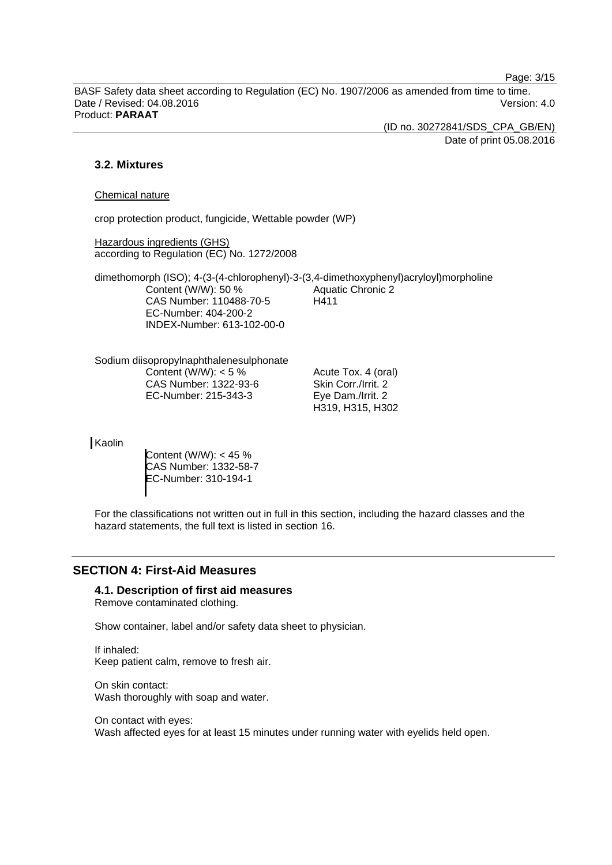Page: 3/15

BASF Safety data sheet according to Regulation (EC) No. 1907/2006 as amended from time to time. Date / Revised: 04.08.2016 Version: 4.0 Product: **PARAAT**

(ID no. 30272841/SDS\_CPA\_GB/EN)

Date of print 05.08.2016

### **3.2. Mixtures**

#### Chemical nature

crop protection product, fungicide, Wettable powder (WP)

Hazardous ingredients (GHS) according to Regulation (EC) No. 1272/2008

dimethomorph (ISO); 4-(3-(4-chlorophenyl)-3-(3,4-dimethoxyphenyl)acryloyl)morpholine Content (W/W): 50 % CAS Number: 110488-70-5 EC-Number: 404-200-2 INDEX-Number: 613-102-00-0 Aquatic Chronic 2 H411

Sodium diisopropylnaphthalenesulphonate Content (W/W):  $< 5 \%$ CAS Number: 1322-93-6 EC-Number: 215-343-3

Acute Tox. 4 (oral) Skin Corr./Irrit. 2 Eye Dam./Irrit. 2 H319, H315, H302

**Kaolin** 

Content (W/W): < 45 % CAS Number: 1332-58-7 EC-Number: 310-194-1

For the classifications not written out in full in this section, including the hazard classes and the hazard statements, the full text is listed in section 16.

### **SECTION 4: First-Aid Measures**

#### **4.1. Description of first aid measures**

Remove contaminated clothing.

Show container, label and/or safety data sheet to physician.

If inhaled: Keep patient calm, remove to fresh air.

On skin contact: Wash thoroughly with soap and water.

On contact with eyes: Wash affected eyes for at least 15 minutes under running water with eyelids held open.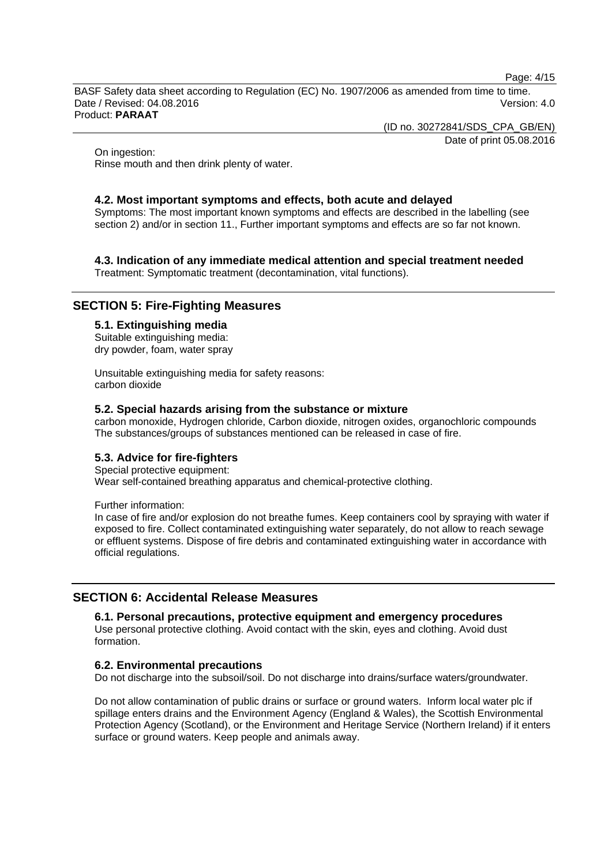Page: 4/15

BASF Safety data sheet according to Regulation (EC) No. 1907/2006 as amended from time to time. Date / Revised: 04.08.2016 Version: 4.0 Product: **PARAAT**

(ID no. 30272841/SDS\_CPA\_GB/EN)

Date of print 05.08.2016

On ingestion: Rinse mouth and then drink plenty of water.

#### **4.2. Most important symptoms and effects, both acute and delayed**

Symptoms: The most important known symptoms and effects are described in the labelling (see section 2) and/or in section 11., Further important symptoms and effects are so far not known.

## **4.3. Indication of any immediate medical attention and special treatment needed**

Treatment: Symptomatic treatment (decontamination, vital functions).

### **SECTION 5: Fire-Fighting Measures**

#### **5.1. Extinguishing media**

Suitable extinguishing media: dry powder, foam, water spray

Unsuitable extinguishing media for safety reasons: carbon dioxide

#### **5.2. Special hazards arising from the substance or mixture**

carbon monoxide, Hydrogen chloride, Carbon dioxide, nitrogen oxides, organochloric compounds The substances/groups of substances mentioned can be released in case of fire.

#### **5.3. Advice for fire-fighters**

Special protective equipment: Wear self-contained breathing apparatus and chemical-protective clothing.

Further information:

In case of fire and/or explosion do not breathe fumes. Keep containers cool by spraying with water if exposed to fire. Collect contaminated extinguishing water separately, do not allow to reach sewage or effluent systems. Dispose of fire debris and contaminated extinguishing water in accordance with official regulations.

#### **SECTION 6: Accidental Release Measures**

#### **6.1. Personal precautions, protective equipment and emergency procedures**

Use personal protective clothing. Avoid contact with the skin, eyes and clothing. Avoid dust formation.

#### **6.2. Environmental precautions**

Do not discharge into the subsoil/soil. Do not discharge into drains/surface waters/groundwater.

Do not allow contamination of public drains or surface or ground waters. Inform local water plc if spillage enters drains and the Environment Agency (England & Wales), the Scottish Environmental Protection Agency (Scotland), or the Environment and Heritage Service (Northern Ireland) if it enters surface or ground waters. Keep people and animals away.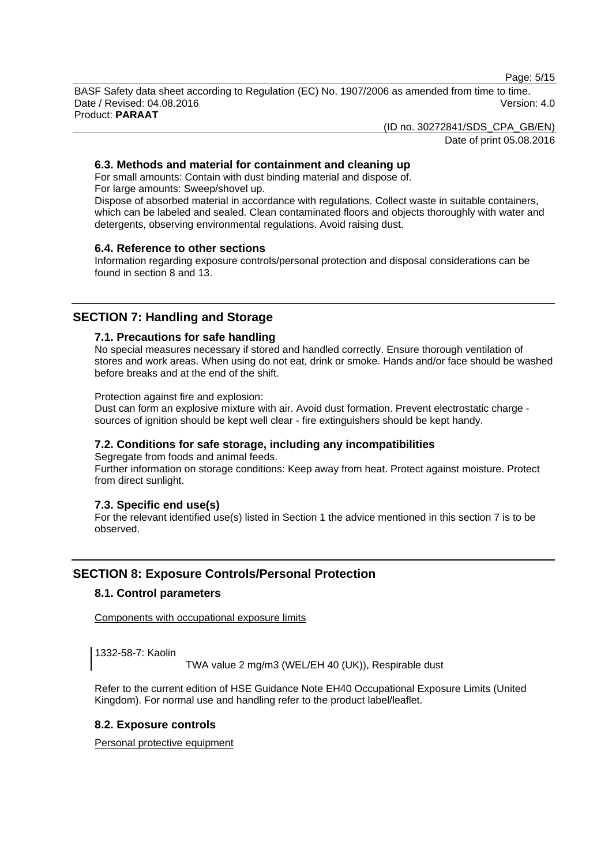Page: 5/15

BASF Safety data sheet according to Regulation (EC) No. 1907/2006 as amended from time to time. Date / Revised: 04.08.2016 Version: 4.0 Product: **PARAAT**

(ID no. 30272841/SDS\_CPA\_GB/EN)

Date of print 05.08.2016

#### **6.3. Methods and material for containment and cleaning up**

For small amounts: Contain with dust binding material and dispose of. For large amounts: Sweep/shovel up.

Dispose of absorbed material in accordance with regulations. Collect waste in suitable containers, which can be labeled and sealed. Clean contaminated floors and objects thoroughly with water and detergents, observing environmental regulations. Avoid raising dust.

#### **6.4. Reference to other sections**

Information regarding exposure controls/personal protection and disposal considerations can be found in section 8 and 13.

### **SECTION 7: Handling and Storage**

#### **7.1. Precautions for safe handling**

No special measures necessary if stored and handled correctly. Ensure thorough ventilation of stores and work areas. When using do not eat, drink or smoke. Hands and/or face should be washed before breaks and at the end of the shift.

Protection against fire and explosion:

Dust can form an explosive mixture with air. Avoid dust formation. Prevent electrostatic charge sources of ignition should be kept well clear - fire extinguishers should be kept handy.

#### **7.2. Conditions for safe storage, including any incompatibilities**

Segregate from foods and animal feeds.

Further information on storage conditions: Keep away from heat. Protect against moisture. Protect from direct sunlight.

#### **7.3. Specific end use(s)**

For the relevant identified use(s) listed in Section 1 the advice mentioned in this section 7 is to be observed.

### **SECTION 8: Exposure Controls/Personal Protection**

#### **8.1. Control parameters**

Components with occupational exposure limits

1332-58-7: Kaolin

TWA value 2 mg/m3 (WEL/EH 40 (UK)), Respirable dust

Refer to the current edition of HSE Guidance Note EH40 Occupational Exposure Limits (United Kingdom). For normal use and handling refer to the product label/leaflet.

#### **8.2. Exposure controls**

Personal protective equipment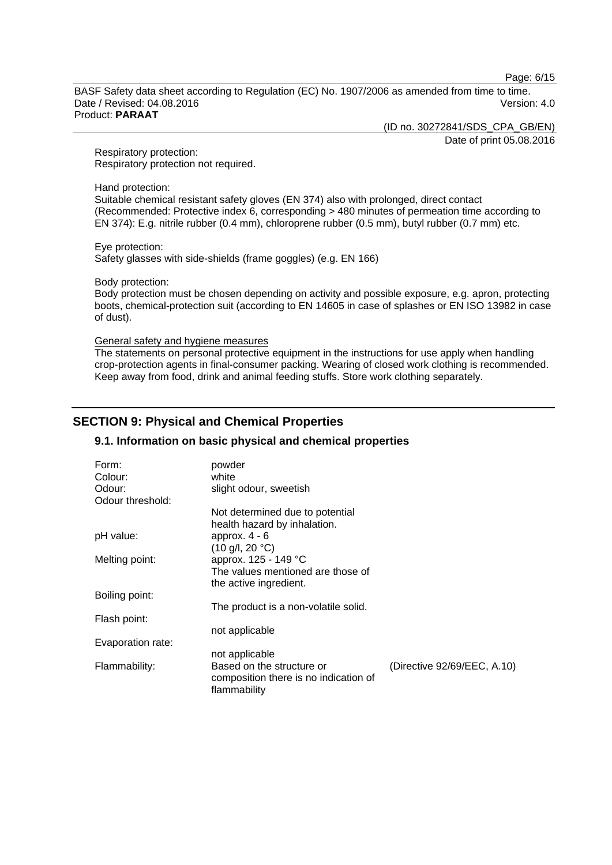Page: 6/15

BASF Safety data sheet according to Regulation (EC) No. 1907/2006 as amended from time to time. Date / Revised: 04.08.2016 **Version: 4.0** Version: 4.0 Product: **PARAAT**

(ID no. 30272841/SDS\_CPA\_GB/EN)

Date of print 05.08.2016

Respiratory protection: Respiratory protection not required.

Hand protection:

Suitable chemical resistant safety gloves (EN 374) also with prolonged, direct contact (Recommended: Protective index 6, corresponding > 480 minutes of permeation time according to EN 374): E.g. nitrile rubber (0.4 mm), chloroprene rubber (0.5 mm), butyl rubber (0.7 mm) etc.

Eye protection: Safety glasses with side-shields (frame goggles) (e.g. EN 166)

Body protection:

Body protection must be chosen depending on activity and possible exposure, e.g. apron, protecting boots, chemical-protection suit (according to EN 14605 in case of splashes or EN ISO 13982 in case of dust).

General safety and hygiene measures

The statements on personal protective equipment in the instructions for use apply when handling crop-protection agents in final-consumer packing. Wearing of closed work clothing is recommended. Keep away from food, drink and animal feeding stuffs. Store work clothing separately.

### **SECTION 9: Physical and Chemical Properties**

#### **9.1. Information on basic physical and chemical properties**

| (Directive 92/69/EEC, A.10) |
|-----------------------------|
|                             |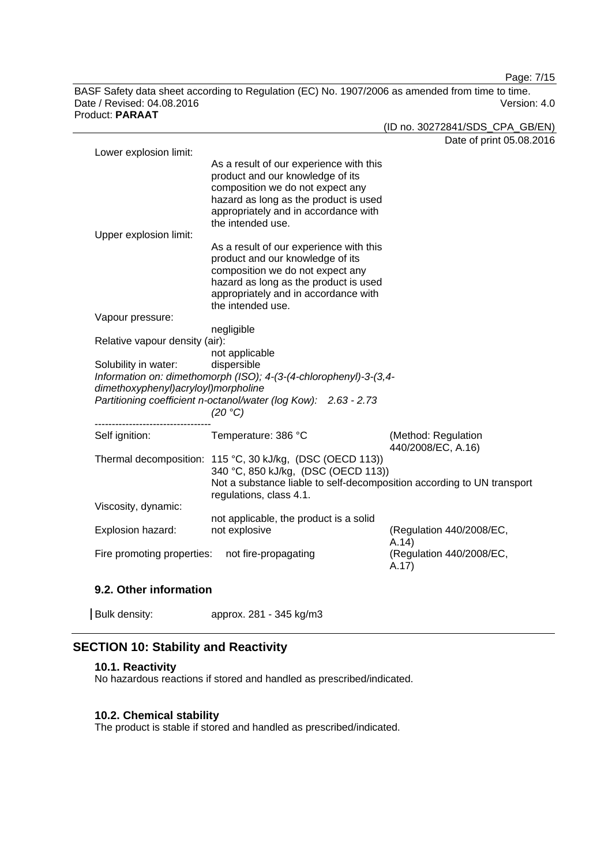Page: 7/15

BASF Safety data sheet according to Regulation (EC) No. 1907/2006 as amended from time to time. Date / Revised: 04.08.2016 **Version: 4.0** Product: **PARAAT**

| duct: PARAAT                        |                                                                               |                                   |
|-------------------------------------|-------------------------------------------------------------------------------|-----------------------------------|
|                                     |                                                                               | (ID no. 30272841/SDS_CPA_GB/EN)   |
|                                     |                                                                               | Date of print 05.08.2016          |
| Lower explosion limit:              |                                                                               |                                   |
|                                     | As a result of our experience with this                                       |                                   |
|                                     | product and our knowledge of its                                              |                                   |
|                                     | composition we do not expect any                                              |                                   |
|                                     | hazard as long as the product is used                                         |                                   |
|                                     | appropriately and in accordance with                                          |                                   |
|                                     | the intended use.                                                             |                                   |
| Upper explosion limit:              |                                                                               |                                   |
|                                     | As a result of our experience with this                                       |                                   |
|                                     | product and our knowledge of its                                              |                                   |
|                                     | composition we do not expect any                                              |                                   |
|                                     | hazard as long as the product is used<br>appropriately and in accordance with |                                   |
|                                     | the intended use.                                                             |                                   |
| Vapour pressure:                    |                                                                               |                                   |
|                                     | negligible                                                                    |                                   |
| Relative vapour density (air):      |                                                                               |                                   |
|                                     | not applicable                                                                |                                   |
| Solubility in water:                | dispersible                                                                   |                                   |
|                                     | Information on: dimethomorph (ISO); 4-(3-(4-chlorophenyl)-3-(3,4-             |                                   |
| dimethoxyphenyl)acryloyl)morpholine |                                                                               |                                   |
|                                     | Partitioning coefficient n-octanol/water (log Kow): 2.63 - 2.73               |                                   |
|                                     | (20 °C)                                                                       |                                   |
|                                     |                                                                               |                                   |
| Self ignition:                      | Temperature: 386 °C                                                           | (Method: Regulation               |
|                                     |                                                                               | 440/2008/EC, A.16)                |
|                                     | Thermal decomposition: 115 °C, 30 kJ/kg, (DSC (OECD 113))                     |                                   |
|                                     | 340 °C, 850 kJ/kg, (DSC (OECD 113))                                           |                                   |
|                                     | Not a substance liable to self-decomposition according to UN transport        |                                   |
|                                     | regulations, class 4.1.                                                       |                                   |
| Viscosity, dynamic:                 |                                                                               |                                   |
|                                     | not applicable, the product is a solid                                        |                                   |
| Explosion hazard:                   | not explosive                                                                 | (Regulation 440/2008/EC,          |
| Fire promoting properties:          | not fire-propagating                                                          | A.14)<br>(Regulation 440/2008/EC, |
|                                     |                                                                               | A.17)                             |
|                                     |                                                                               |                                   |
|                                     |                                                                               |                                   |

#### **9.2. Other information**

| Bulk density: | approx. 281 - 345 kg/m3 |
|---------------|-------------------------|
|---------------|-------------------------|

### **SECTION 10: Stability and Reactivity**

#### **10.1. Reactivity**

No hazardous reactions if stored and handled as prescribed/indicated.

### **10.2. Chemical stability**

The product is stable if stored and handled as prescribed/indicated.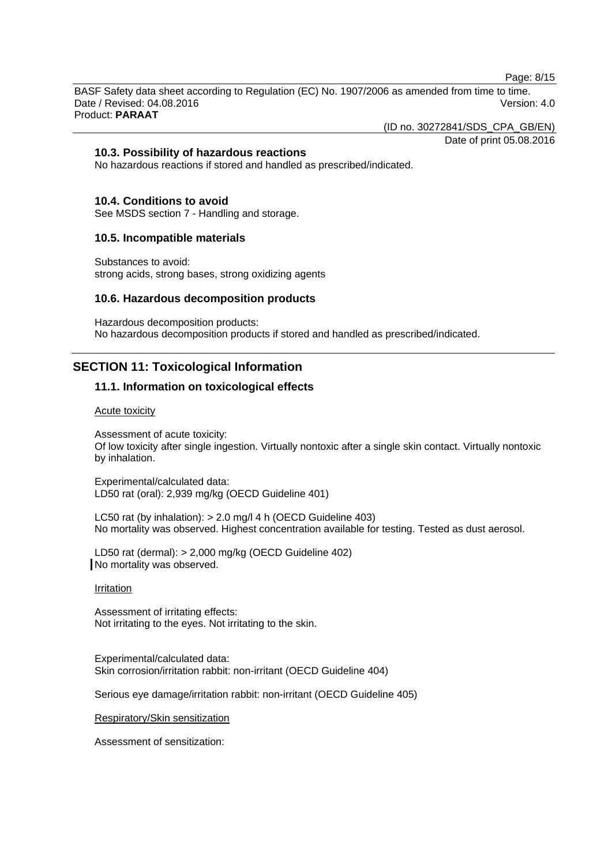Page: 8/15

BASF Safety data sheet according to Regulation (EC) No. 1907/2006 as amended from time to time. Date / Revised: 04.08.2016 Version: 4.0 Product: **PARAAT**

(ID no. 30272841/SDS\_CPA\_GB/EN)

### Date of print 05.08.2016

#### **10.3. Possibility of hazardous reactions**

No hazardous reactions if stored and handled as prescribed/indicated.

#### **10.4. Conditions to avoid**

See MSDS section 7 - Handling and storage.

#### **10.5. Incompatible materials**

Substances to avoid: strong acids, strong bases, strong oxidizing agents

#### **10.6. Hazardous decomposition products**

Hazardous decomposition products: No hazardous decomposition products if stored and handled as prescribed/indicated.

### **SECTION 11: Toxicological Information**

#### **11.1. Information on toxicological effects**

#### Acute toxicity

Assessment of acute toxicity: Of low toxicity after single ingestion. Virtually nontoxic after a single skin contact. Virtually nontoxic by inhalation.

Experimental/calculated data: LD50 rat (oral): 2,939 mg/kg (OECD Guideline 401)

LC50 rat (by inhalation): > 2.0 mg/l 4 h (OECD Guideline 403) No mortality was observed. Highest concentration available for testing. Tested as dust aerosol.

LD50 rat (dermal): > 2,000 mg/kg (OECD Guideline 402) No mortality was observed.

#### Irritation

Assessment of irritating effects: Not irritating to the eyes. Not irritating to the skin.

Experimental/calculated data: Skin corrosion/irritation rabbit: non-irritant (OECD Guideline 404)

Serious eye damage/irritation rabbit: non-irritant (OECD Guideline 405)

Respiratory/Skin sensitization

Assessment of sensitization: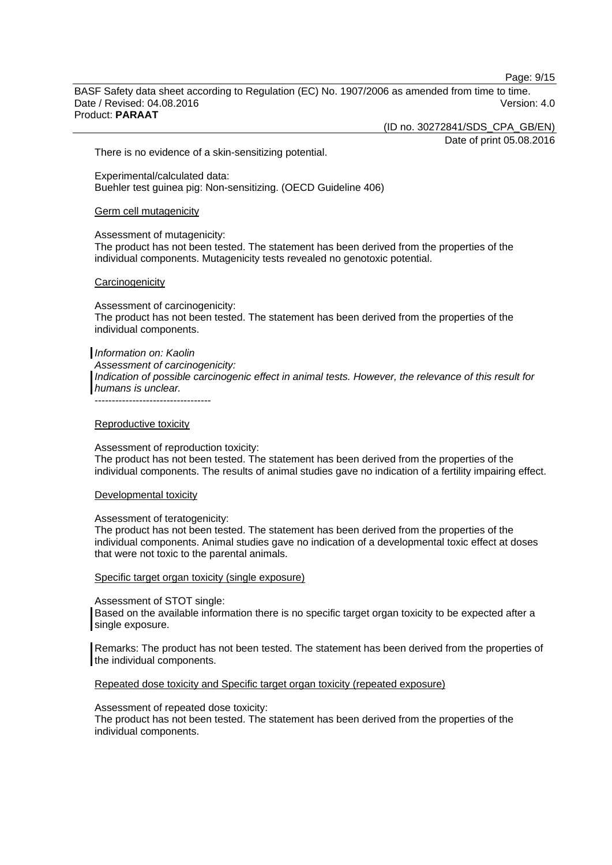Page: 9/15

BASF Safety data sheet according to Regulation (EC) No. 1907/2006 as amended from time to time. Date / Revised: 04.08.2016 Version: 4.0 Product: **PARAAT**

(ID no. 30272841/SDS\_CPA\_GB/EN)

Date of print 05.08.2016

There is no evidence of a skin-sensitizing potential.

Experimental/calculated data: Buehler test guinea pig: Non-sensitizing. (OECD Guideline 406)

Germ cell mutagenicity

Assessment of mutagenicity:

The product has not been tested. The statement has been derived from the properties of the individual components. Mutagenicity tests revealed no genotoxic potential.

#### **Carcinogenicity**

Assessment of carcinogenicity: The product has not been tested. The statement has been derived from the properties of the individual components.

#### *Information on: Kaolin*

*Assessment of carcinogenicity: Indication of possible carcinogenic effect in animal tests. However, the relevance of this result for humans is unclear.*

----------------------------------

#### Reproductive toxicity

Assessment of reproduction toxicity: The product has not been tested. The statement has been derived from the properties of the individual components. The results of animal studies gave no indication of a fertility impairing effect.

Developmental toxicity

Assessment of teratogenicity:

The product has not been tested. The statement has been derived from the properties of the individual components. Animal studies gave no indication of a developmental toxic effect at doses that were not toxic to the parental animals.

#### Specific target organ toxicity (single exposure)

Assessment of STOT single:

Based on the available information there is no specific target organ toxicity to be expected after a single exposure.

Remarks: The product has not been tested. The statement has been derived from the properties of the individual components.

Repeated dose toxicity and Specific target organ toxicity (repeated exposure)

Assessment of repeated dose toxicity:

The product has not been tested. The statement has been derived from the properties of the individual components.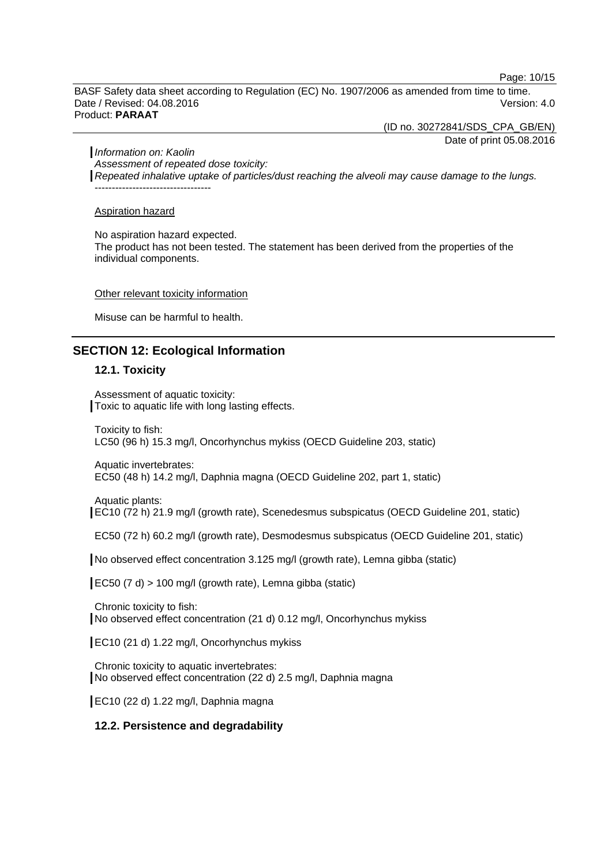Page: 10/15

BASF Safety data sheet according to Regulation (EC) No. 1907/2006 as amended from time to time. Date / Revised: 04.08.2016 **Version: 4.0** Version: 4.0 Product: **PARAAT**

(ID no. 30272841/SDS\_CPA\_GB/EN)

Date of print 05.08.2016

*Information on: Kaolin*

*Assessment of repeated dose toxicity: Repeated inhalative uptake of particles/dust reaching the alveoli may cause damage to the lungs.*  $-1.4\pm0.01$  and  $-1.4\pm0.01$  and  $-1.4\pm0.01$ 

Aspiration hazard

No aspiration hazard expected.

The product has not been tested. The statement has been derived from the properties of the individual components.

#### Other relevant toxicity information

Misuse can be harmful to health.

### **SECTION 12: Ecological Information**

#### **12.1. Toxicity**

Assessment of aquatic toxicity: Toxic to aquatic life with long lasting effects.

Toxicity to fish: LC50 (96 h) 15.3 mg/l, Oncorhynchus mykiss (OECD Guideline 203, static)

Aquatic invertebrates: EC50 (48 h) 14.2 mg/l, Daphnia magna (OECD Guideline 202, part 1, static)

Aquatic plants: EC10 (72 h) 21.9 mg/l (growth rate), Scenedesmus subspicatus (OECD Guideline 201, static)

EC50 (72 h) 60.2 mg/l (growth rate), Desmodesmus subspicatus (OECD Guideline 201, static)

No observed effect concentration 3.125 mg/l (growth rate), Lemna gibba (static)

EC50 (7 d) > 100 mg/l (growth rate), Lemna gibba (static)

Chronic toxicity to fish: No observed effect concentration (21 d) 0.12 mg/l, Oncorhynchus mykiss

EC10 (21 d) 1.22 mg/l, Oncorhynchus mykiss

Chronic toxicity to aquatic invertebrates: No observed effect concentration (22 d) 2.5 mg/l, Daphnia magna

EC10 (22 d) 1.22 mg/l, Daphnia magna

#### **12.2. Persistence and degradability**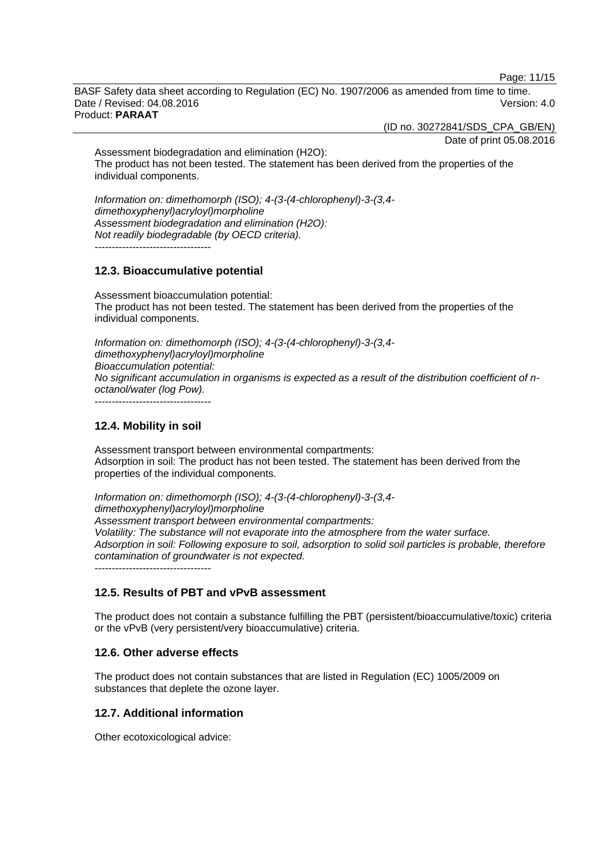Page: 11/15

BASF Safety data sheet according to Regulation (EC) No. 1907/2006 as amended from time to time. Date / Revised: 04.08.2016 Version: 4.0 Product: **PARAAT**

(ID no. 30272841/SDS\_CPA\_GB/EN)

Date of print 05.08.2016

Assessment biodegradation and elimination (H2O): The product has not been tested. The statement has been derived from the properties of the individual components.

*Information on: dimethomorph (ISO); 4-(3-(4-chlorophenyl)-3-(3,4 dimethoxyphenyl)acryloyl)morpholine Assessment biodegradation and elimination (H2O): Not readily biodegradable (by OECD criteria).*

----------------------------------

#### **12.3. Bioaccumulative potential**

Assessment bioaccumulation potential: The product has not been tested. The statement has been derived from the properties of the individual components.

*Information on: dimethomorph (ISO); 4-(3-(4-chlorophenyl)-3-(3,4 dimethoxyphenyl)acryloyl)morpholine Bioaccumulation potential: No significant accumulation in organisms is expected as a result of the distribution coefficient of noctanol/water (log Pow).*

----------------------------------

#### **12.4. Mobility in soil**

Assessment transport between environmental compartments: Adsorption in soil: The product has not been tested. The statement has been derived from the properties of the individual components.

*Information on: dimethomorph (ISO); 4-(3-(4-chlorophenyl)-3-(3,4 dimethoxyphenyl)acryloyl)morpholine Assessment transport between environmental compartments: Volatility: The substance will not evaporate into the atmosphere from the water surface. Adsorption in soil: Following exposure to soil, adsorption to solid soil particles is probable, therefore contamination of groundwater is not expected.* ----------------------------------

#### **12.5. Results of PBT and vPvB assessment**

The product does not contain a substance fulfilling the PBT (persistent/bioaccumulative/toxic) criteria or the vPvB (very persistent/very bioaccumulative) criteria.

#### **12.6. Other adverse effects**

The product does not contain substances that are listed in Regulation (EC) 1005/2009 on substances that deplete the ozone layer.

#### **12.7. Additional information**

Other ecotoxicological advice: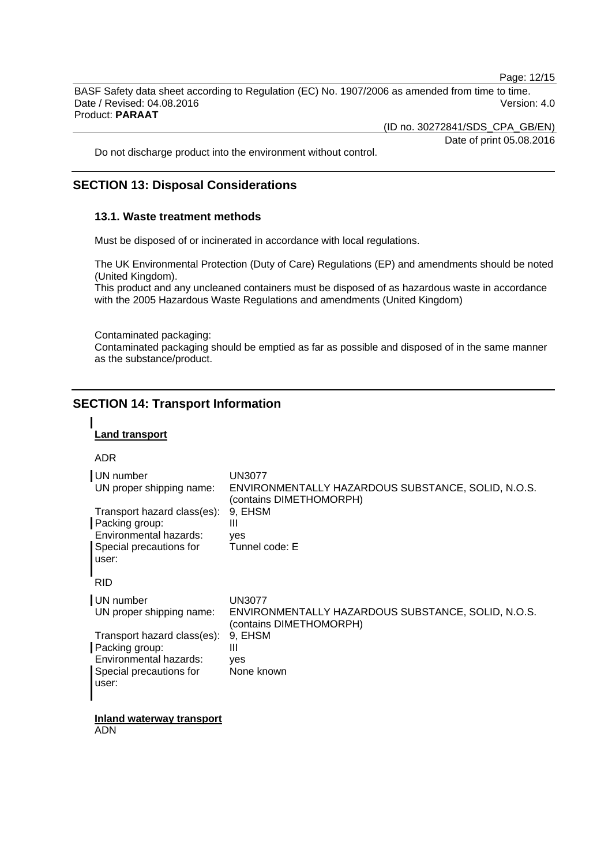Page: 12/15

BASF Safety data sheet according to Regulation (EC) No. 1907/2006 as amended from time to time. Date / Revised: 04.08.2016 **Version: 4.0** Version: 4.0 Product: **PARAAT**

(ID no. 30272841/SDS\_CPA\_GB/EN)

Date of print 05.08.2016

Do not discharge product into the environment without control.

### **SECTION 13: Disposal Considerations**

#### **13.1. Waste treatment methods**

Must be disposed of or incinerated in accordance with local regulations.

The UK Environmental Protection (Duty of Care) Regulations (EP) and amendments should be noted (United Kingdom).

This product and any uncleaned containers must be disposed of as hazardous waste in accordance with the 2005 Hazardous Waste Regulations and amendments (United Kingdom)

Contaminated packaging:

Contaminated packaging should be emptied as far as possible and disposed of in the same manner as the substance/product.

### **SECTION 14: Transport Information**

#### **Land transport**

#### ADR

| UN number<br>UN proper shipping name:<br>Transport hazard class(es):<br>Packing group:<br>Environmental hazards:<br>Special precautions for<br>user:<br><b>RID</b> | UN3077<br>ENVIRONMENTALLY HAZARDOUS SUBSTANCE, SOLID, N.O.S.<br>(contains DIMETHOMORPH)<br>9, EHSM<br>Ш<br>yes<br>Tunnel code: E                 |
|--------------------------------------------------------------------------------------------------------------------------------------------------------------------|--------------------------------------------------------------------------------------------------------------------------------------------------|
| UN number<br>UN proper shipping name:<br>Transport hazard class(es):<br>Packing group:<br>Environmental hazards:<br>Special precautions for<br>user:               | <b>UN3077</b><br>ENVIRONMENTALLY HAZARDOUS SUBSTANCE, SOLID, N.O.S.<br>(contains DIMETHOMORPH)<br>9, EHSM<br>$\mathbf{III}$<br>yes<br>None known |
| Inland waterway transport                                                                                                                                          |                                                                                                                                                  |

ADN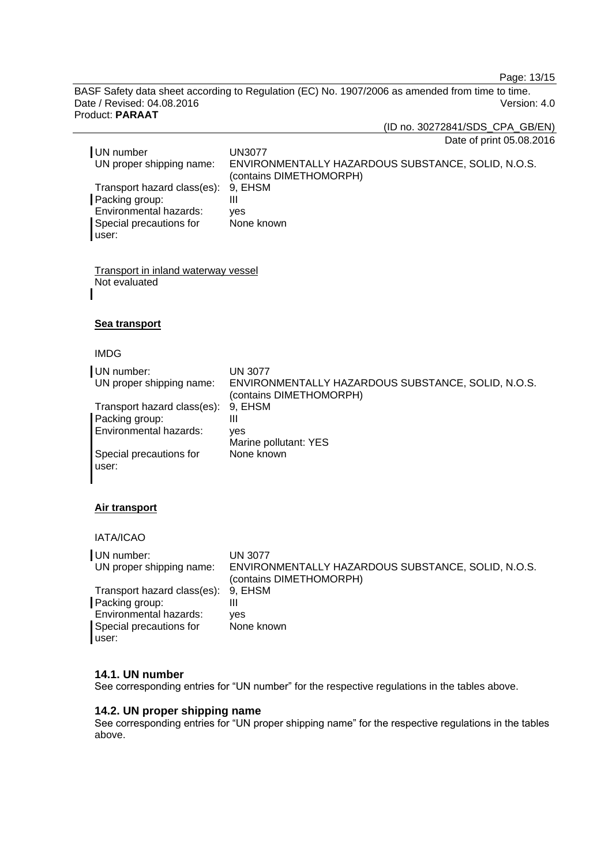Page: 13/15

BASF Safety data sheet according to Regulation (EC) No. 1907/2006 as amended from time to time. Date / Revised: 04.08.2016 **Version: 4.0** Product: **PARAAT**

(ID no. 30272841/SDS\_CPA\_GB/EN)

Date of print 05.08.2016

| UN number<br>UN proper shipping name: | UN3077<br>ENVIRONMENTALLY HAZARDOUS SUBSTANCE, SOLID, N.O.S.<br>(contains DIMETHOMORPH) |
|---------------------------------------|-----------------------------------------------------------------------------------------|
| Transport hazard class(es): 9, EHSM   |                                                                                         |
| Packing group:                        |                                                                                         |
| Environmental hazards:                | ves                                                                                     |
| Special precautions for               | None known                                                                              |
| user:                                 |                                                                                         |

Transport in inland waterway vessel Not evaluated

#### **Sea transport**

IMDG

| UN number:                    | <b>UN 3077</b>                                                                |
|-------------------------------|-------------------------------------------------------------------------------|
| UN proper shipping name:      | ENVIRONMENTALLY HAZARDOUS SUBSTANCE, SOLID, N.O.S.<br>(contains DIMETHOMORPH) |
| Transport hazard class(es):   | 9. EHSM                                                                       |
| Packing group:                | Ш                                                                             |
| <b>Environmental hazards:</b> | ves                                                                           |
|                               | Marine pollutant: YES                                                         |
| Special precautions for       | None known                                                                    |
| user:                         |                                                                               |
|                               |                                                                               |

#### **Air transport**

IATA/ICAO

| UN number:                          | UN 3077                                                                       |
|-------------------------------------|-------------------------------------------------------------------------------|
| UN proper shipping name:            | ENVIRONMENTALLY HAZARDOUS SUBSTANCE, SOLID, N.O.S.<br>(contains DIMETHOMORPH) |
| Transport hazard class(es): 9, EHSM |                                                                               |
| Packing group:                      | Ш                                                                             |
| Environmental hazards:              | ves                                                                           |
| Special precautions for<br>user:    | None known                                                                    |

#### **14.1. UN number**

See corresponding entries for "UN number" for the respective regulations in the tables above.

#### **14.2. UN proper shipping name**

See corresponding entries for "UN proper shipping name" for the respective regulations in the tables above.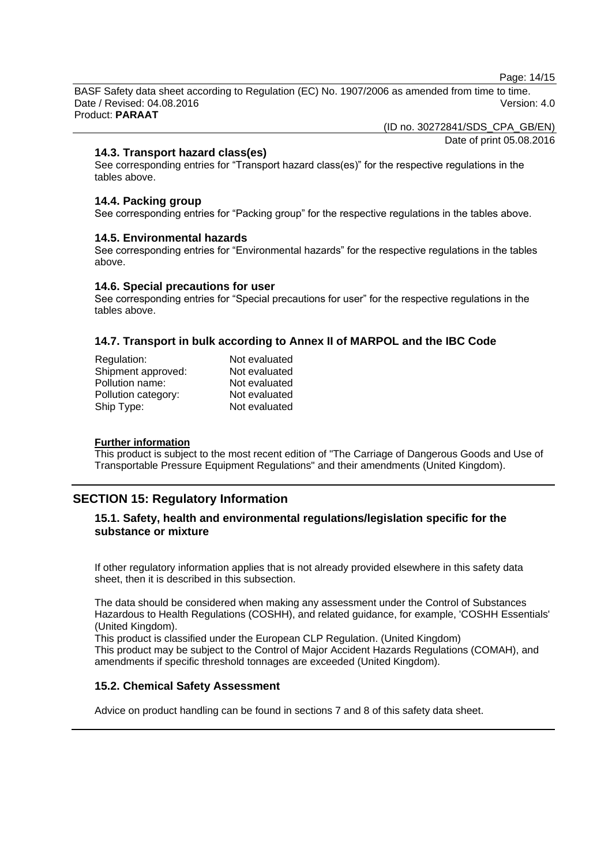Page: 14/15

BASF Safety data sheet according to Regulation (EC) No. 1907/2006 as amended from time to time. Date / Revised: 04.08.2016 Version: 4.0 Product: **PARAAT**

(ID no. 30272841/SDS\_CPA\_GB/EN)

Date of print 05.08.2016

#### **14.3. Transport hazard class(es)**

See corresponding entries for "Transport hazard class(es)" for the respective regulations in the tables above.

#### **14.4. Packing group**

See corresponding entries for "Packing group" for the respective regulations in the tables above.

#### **14.5. Environmental hazards**

See corresponding entries for "Environmental hazards" for the respective regulations in the tables above.

#### **14.6. Special precautions for user**

See corresponding entries for "Special precautions for user" for the respective regulations in the tables above.

#### **14.7. Transport in bulk according to Annex II of MARPOL and the IBC Code**

| Regulation:         | Not evaluated |
|---------------------|---------------|
| Shipment approved:  | Not evaluated |
| Pollution name:     | Not evaluated |
| Pollution category: | Not evaluated |
| Ship Type:          | Not evaluated |
|                     |               |

#### **Further information**

This product is subject to the most recent edition of "The Carriage of Dangerous Goods and Use of Transportable Pressure Equipment Regulations" and their amendments (United Kingdom).

### **SECTION 15: Regulatory Information**

#### **15.1. Safety, health and environmental regulations/legislation specific for the substance or mixture**

If other regulatory information applies that is not already provided elsewhere in this safety data sheet, then it is described in this subsection.

The data should be considered when making any assessment under the Control of Substances Hazardous to Health Regulations (COSHH), and related guidance, for example, 'COSHH Essentials' (United Kingdom).

This product is classified under the European CLP Regulation. (United Kingdom) This product may be subject to the Control of Major Accident Hazards Regulations (COMAH), and amendments if specific threshold tonnages are exceeded (United Kingdom).

#### **15.2. Chemical Safety Assessment**

Advice on product handling can be found in sections 7 and 8 of this safety data sheet.